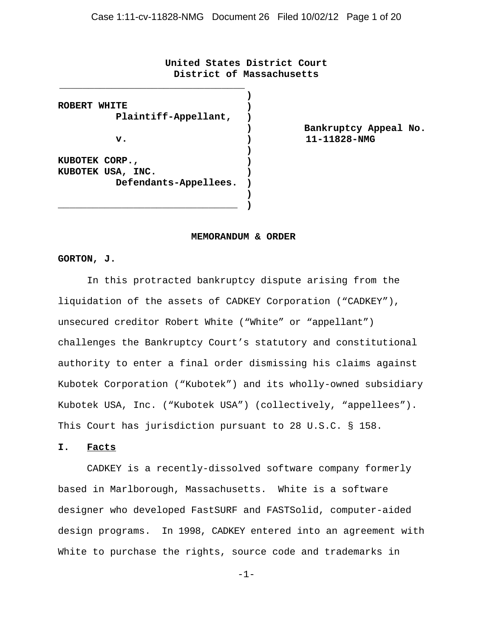**United States District Court District of Massachusetts**

**ROBERT WHITE Plaintiff-Appellant, v. KUBOTEK CORP., KUBOTEK USA, INC. Defendants-Appellees. ) ) ) ) ) ) ) )**

\_\_\_\_\_\_\_\_\_\_\_\_\_\_\_\_\_\_\_\_\_\_\_\_\_\_\_\_\_\_\_

\_\_\_\_\_\_\_\_\_\_\_\_\_\_\_\_\_\_\_\_\_\_\_\_\_\_\_\_\_\_\_\_

**) Bankruptcy Appeal No. ) 11-11828-NMG**

#### **MEMORANDUM & ORDER**

**)**

#### **GORTON, J.**

In this protracted bankruptcy dispute arising from the liquidation of the assets of CADKEY Corporation ("CADKEY"), unsecured creditor Robert White ("White" or "appellant") challenges the Bankruptcy Court's statutory and constitutional authority to enter a final order dismissing his claims against Kubotek Corporation ("Kubotek") and its wholly-owned subsidiary Kubotek USA, Inc. ("Kubotek USA") (collectively, "appellees"). This Court has jurisdiction pursuant to 28 U.S.C. § 158.

### **I. Facts**

CADKEY is a recently-dissolved software company formerly based in Marlborough, Massachusetts. White is a software designer who developed FastSURF and FASTSolid, computer-aided design programs. In 1998, CADKEY entered into an agreement with White to purchase the rights, source code and trademarks in

-1-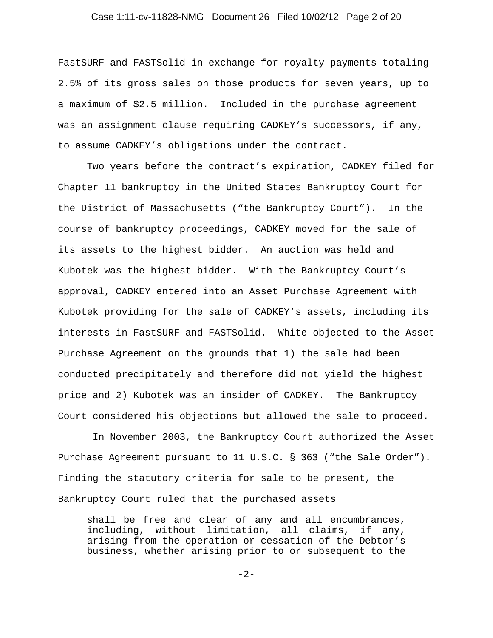### Case 1:11-cv-11828-NMG Document 26 Filed 10/02/12 Page 2 of 20

FastSURF and FASTSolid in exchange for royalty payments totaling 2.5% of its gross sales on those products for seven years, up to a maximum of \$2.5 million. Included in the purchase agreement was an assignment clause requiring CADKEY's successors, if any, to assume CADKEY's obligations under the contract.

Two years before the contract's expiration, CADKEY filed for Chapter 11 bankruptcy in the United States Bankruptcy Court for the District of Massachusetts ("the Bankruptcy Court"). In the course of bankruptcy proceedings, CADKEY moved for the sale of its assets to the highest bidder. An auction was held and Kubotek was the highest bidder. With the Bankruptcy Court's approval, CADKEY entered into an Asset Purchase Agreement with Kubotek providing for the sale of CADKEY's assets, including its interests in FastSURF and FASTSolid. White objected to the Asset Purchase Agreement on the grounds that 1) the sale had been conducted precipitately and therefore did not yield the highest price and 2) Kubotek was an insider of CADKEY. The Bankruptcy Court considered his objections but allowed the sale to proceed.

 In November 2003, the Bankruptcy Court authorized the Asset Purchase Agreement pursuant to 11 U.S.C. § 363 ("the Sale Order"). Finding the statutory criteria for sale to be present, the Bankruptcy Court ruled that the purchased assets

shall be free and clear of any and all encumbrances, including, without limitation, all claims, if any, arising from the operation or cessation of the Debtor's business, whether arising prior to or subsequent to the

-2-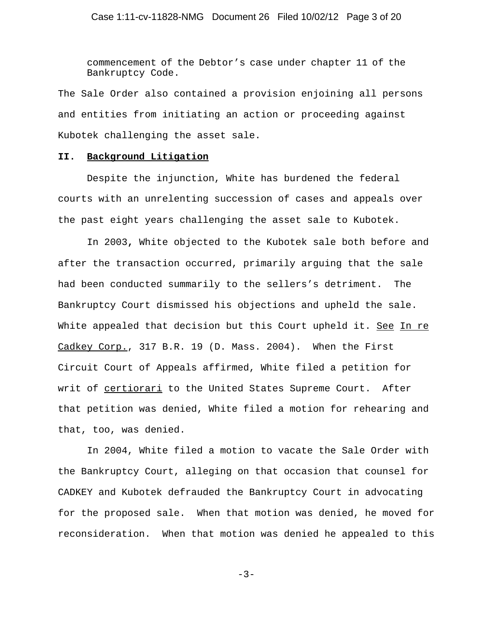commencement of the Debtor's case under chapter 11 of the Bankruptcy Code.

The Sale Order also contained a provision enjoining all persons and entities from initiating an action or proceeding against Kubotek challenging the asset sale.

#### **II. Background Litigation**

Despite the injunction, White has burdened the federal courts with an unrelenting succession of cases and appeals over the past eight years challenging the asset sale to Kubotek.

In 2003**,** White objected to the Kubotek sale both before and after the transaction occurred, primarily arguing that the sale had been conducted summarily to the sellers's detriment. The Bankruptcy Court dismissed his objections and upheld the sale. White appealed that decision but this Court upheld it. See In re Cadkey Corp., 317 B.R. 19 (D. Mass. 2004). When the First Circuit Court of Appeals affirmed, White filed a petition for writ of certiorari to the United States Supreme Court. After that petition was denied, White filed a motion for rehearing and that, too, was denied.

In 2004, White filed a motion to vacate the Sale Order with the Bankruptcy Court, alleging on that occasion that counsel for CADKEY and Kubotek defrauded the Bankruptcy Court in advocating for the proposed sale. When that motion was denied, he moved for reconsideration. When that motion was denied he appealed to this

-3-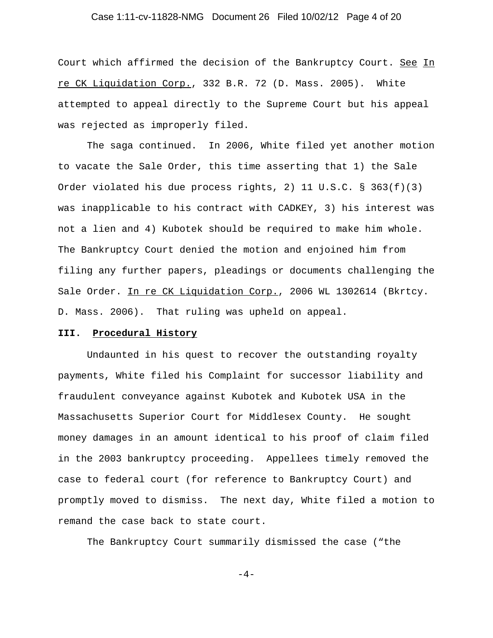### Case 1:11-cv-11828-NMG Document 26 Filed 10/02/12 Page 4 of 20

Court which affirmed the decision of the Bankruptcy Court. See In re CK Liquidation Corp., 332 B.R. 72 (D. Mass. 2005). White attempted to appeal directly to the Supreme Court but his appeal was rejected as improperly filed.

The saga continued. In 2006, White filed yet another motion to vacate the Sale Order, this time asserting that 1) the Sale Order violated his due process rights, 2) 11 U.S.C. § 363(f)(3) was inapplicable to his contract with CADKEY, 3) his interest was not a lien and 4) Kubotek should be required to make him whole. The Bankruptcy Court denied the motion and enjoined him from filing any further papers, pleadings or documents challenging the Sale Order. In re CK Liquidation Corp., 2006 WL 1302614 (Bkrtcy. D. Mass. 2006). That ruling was upheld on appeal.

#### **III. Procedural History**

Undaunted in his quest to recover the outstanding royalty payments, White filed his Complaint for successor liability and fraudulent conveyance against Kubotek and Kubotek USA in the Massachusetts Superior Court for Middlesex County. He sought money damages in an amount identical to his proof of claim filed in the 2003 bankruptcy proceeding. Appellees timely removed the case to federal court (for reference to Bankruptcy Court) and promptly moved to dismiss. The next day, White filed a motion to remand the case back to state court.

The Bankruptcy Court summarily dismissed the case ("the

 $-4-$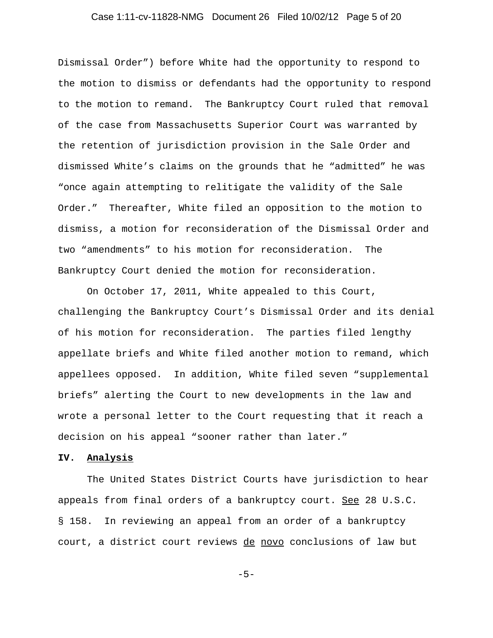### Case 1:11-cv-11828-NMG Document 26 Filed 10/02/12 Page 5 of 20

Dismissal Order") before White had the opportunity to respond to the motion to dismiss or defendants had the opportunity to respond to the motion to remand. The Bankruptcy Court ruled that removal of the case from Massachusetts Superior Court was warranted by the retention of jurisdiction provision in the Sale Order and dismissed White's claims on the grounds that he "admitted" he was "once again attempting to relitigate the validity of the Sale Order." Thereafter, White filed an opposition to the motion to dismiss, a motion for reconsideration of the Dismissal Order and two "amendments" to his motion for reconsideration. The Bankruptcy Court denied the motion for reconsideration.

On October 17, 2011, White appealed to this Court, challenging the Bankruptcy Court's Dismissal Order and its denial of his motion for reconsideration. The parties filed lengthy appellate briefs and White filed another motion to remand, which appellees opposed. In addition, White filed seven "supplemental briefs" alerting the Court to new developments in the law and wrote a personal letter to the Court requesting that it reach a decision on his appeal "sooner rather than later."

## **IV. Analysis**

The United States District Courts have jurisdiction to hear appeals from final orders of a bankruptcy court. See 28 U.S.C. § 158. In reviewing an appeal from an order of a bankruptcy court, a district court reviews de novo conclusions of law but

-5-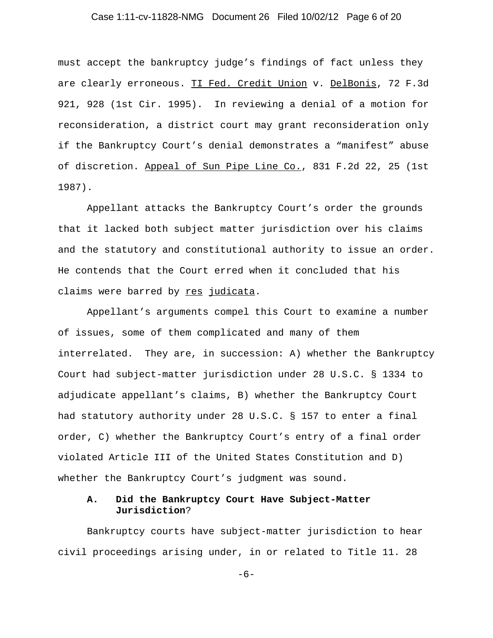### Case 1:11-cv-11828-NMG Document 26 Filed 10/02/12 Page 6 of 20

must accept the bankruptcy judge's findings of fact unless they are clearly erroneous. TI Fed. Credit Union v. DelBonis, 72 F.3d 921, 928 (1st Cir. 1995). In reviewing a denial of a motion for reconsideration, a district court may grant reconsideration only if the Bankruptcy Court's denial demonstrates a "manifest" abuse of discretion. Appeal of Sun Pipe Line Co., 831 F.2d 22, 25 (1st 1987).

Appellant attacks the Bankruptcy Court's order the grounds that it lacked both subject matter jurisdiction over his claims and the statutory and constitutional authority to issue an order. He contends that the Court erred when it concluded that his claims were barred by res judicata.

Appellant's arguments compel this Court to examine a number of issues, some of them complicated and many of them interrelated. They are, in succession: A) whether the Bankruptcy Court had subject-matter jurisdiction under 28 U.S.C. § 1334 to adjudicate appellant's claims, B) whether the Bankruptcy Court had statutory authority under 28 U.S.C. § 157 to enter a final order, C) whether the Bankruptcy Court's entry of a final order violated Article III of the United States Constitution and D) whether the Bankruptcy Court's judgment was sound.

## **A. Did the Bankruptcy Court Have Subject-Matter Jurisdiction**?

Bankruptcy courts have subject-matter jurisdiction to hear civil proceedings arising under, in or related to Title 11. 28

-6-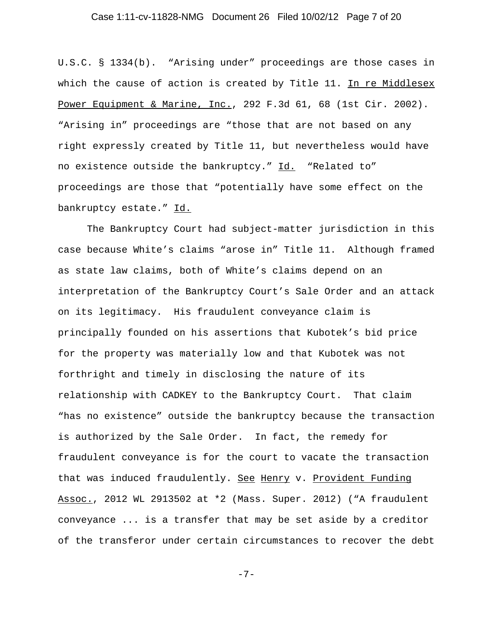### Case 1:11-cv-11828-NMG Document 26 Filed 10/02/12 Page 7 of 20

U.S.C. § 1334(b). "Arising under" proceedings are those cases in which the cause of action is created by Title 11. In re Middlesex Power Equipment & Marine, Inc., 292 F.3d 61, 68 (1st Cir. 2002). "Arising in" proceedings are "those that are not based on any right expressly created by Title 11, but nevertheless would have no existence outside the bankruptcy." Id. "Related to" proceedings are those that "potentially have some effect on the bankruptcy estate." Id.

The Bankruptcy Court had subject-matter jurisdiction in this case because White's claims "arose in" Title 11. Although framed as state law claims, both of White's claims depend on an interpretation of the Bankruptcy Court's Sale Order and an attack on its legitimacy. His fraudulent conveyance claim is principally founded on his assertions that Kubotek's bid price for the property was materially low and that Kubotek was not forthright and timely in disclosing the nature of its relationship with CADKEY to the Bankruptcy Court. That claim "has no existence" outside the bankruptcy because the transaction is authorized by the Sale Order. In fact, the remedy for fraudulent conveyance is for the court to vacate the transaction that was induced fraudulently. See Henry v. Provident Funding Assoc., 2012 WL 2913502 at \*2 (Mass. Super. 2012) ("A fraudulent conveyance ... is a transfer that may be set aside by a creditor of the transferor under certain circumstances to recover the debt

-7-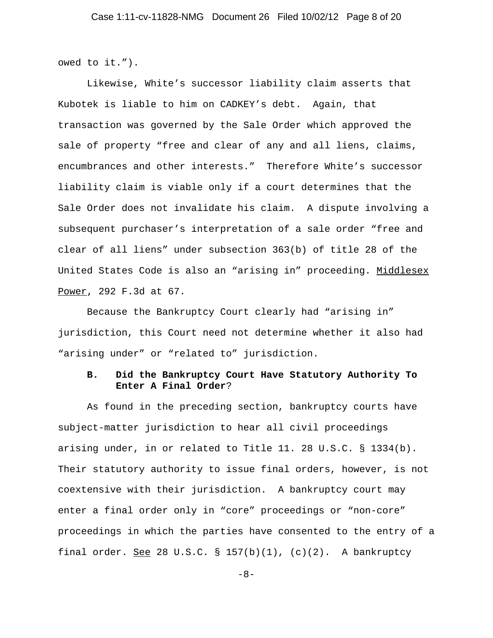owed to it.").

Likewise, White's successor liability claim asserts that Kubotek is liable to him on CADKEY's debt. Again, that transaction was governed by the Sale Order which approved the sale of property "free and clear of any and all liens, claims, encumbrances and other interests." Therefore White's successor liability claim is viable only if a court determines that the Sale Order does not invalidate his claim. A dispute involving a subsequent purchaser's interpretation of a sale order "free and clear of all liens" under subsection 363(b) of title 28 of the United States Code is also an "arising in" proceeding. Middlesex Power, 292 F.3d at 67.

Because the Bankruptcy Court clearly had "arising in" jurisdiction, this Court need not determine whether it also had "arising under" or "related to" jurisdiction.

# **B. Did the Bankruptcy Court Have Statutory Authority To Enter A Final Order**?

As found in the preceding section, bankruptcy courts have subject-matter jurisdiction to hear all civil proceedings arising under, in or related to Title 11. 28 U.S.C. § 1334(b). Their statutory authority to issue final orders, however, is not coextensive with their jurisdiction. A bankruptcy court may enter a final order only in "core" proceedings or "non-core" proceedings in which the parties have consented to the entry of a final order. See 28 U.S.C. § 157(b)(1), (c)(2). A bankruptcy

-8-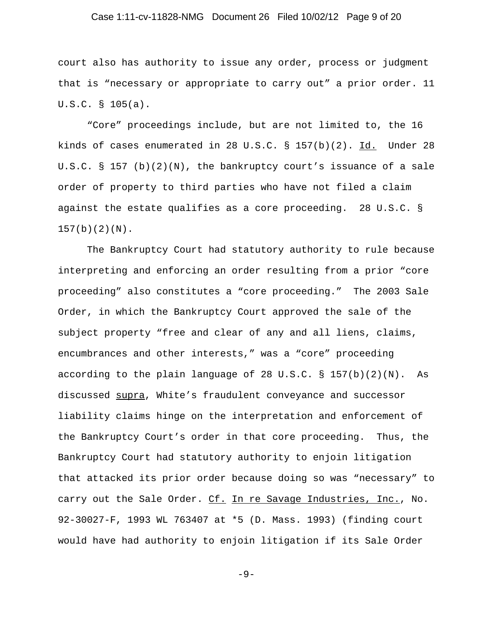### Case 1:11-cv-11828-NMG Document 26 Filed 10/02/12 Page 9 of 20

court also has authority to issue any order, process or judgment that is "necessary or appropriate to carry out" a prior order. 11 U.S.C. § 105(a).

"Core" proceedings include, but are not limited to, the 16 kinds of cases enumerated in 28 U.S.C. § 157(b)(2). Id. Under 28 U.S.C. § 157 (b)(2)(N), the bankruptcy court's issuance of a sale order of property to third parties who have not filed a claim against the estate qualifies as a core proceeding. 28 U.S.C. §  $157(b)(2)(N)$ .

The Bankruptcy Court had statutory authority to rule because interpreting and enforcing an order resulting from a prior "core proceeding" also constitutes a "core proceeding." The 2003 Sale Order, in which the Bankruptcy Court approved the sale of the subject property "free and clear of any and all liens, claims, encumbrances and other interests," was a "core" proceeding according to the plain language of 28 U.S.C.  $\S$  157(b)(2)(N). As discussed supra, White's fraudulent conveyance and successor liability claims hinge on the interpretation and enforcement of the Bankruptcy Court's order in that core proceeding. Thus, the Bankruptcy Court had statutory authority to enjoin litigation that attacked its prior order because doing so was "necessary" to carry out the Sale Order. Cf. In re Savage Industries, Inc., No. 92-30027-F, 1993 WL 763407 at \*5 (D. Mass. 1993) (finding court would have had authority to enjoin litigation if its Sale Order

 $-9-$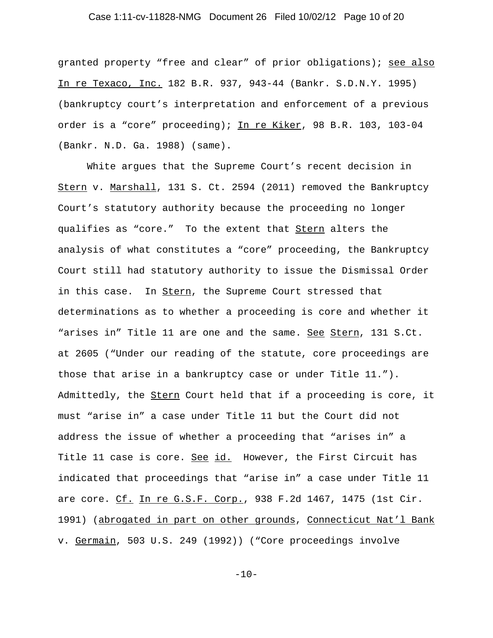### Case 1:11-cv-11828-NMG Document 26 Filed 10/02/12 Page 10 of 20

granted property "free and clear" of prior obligations); see also In re Texaco, Inc. 182 B.R. 937, 943-44 (Bankr. S.D.N.Y. 1995) (bankruptcy court's interpretation and enforcement of a previous order is a "core" proceeding); In re Kiker, 98 B.R. 103, 103-04 (Bankr. N.D. Ga. 1988) (same).

White argues that the Supreme Court's recent decision in Stern v. Marshall, 131 S. Ct. 2594 (2011) removed the Bankruptcy Court's statutory authority because the proceeding no longer qualifies as "core." To the extent that Stern alters the analysis of what constitutes a "core" proceeding, the Bankruptcy Court still had statutory authority to issue the Dismissal Order in this case. In Stern, the Supreme Court stressed that determinations as to whether a proceeding is core and whether it "arises in" Title 11 are one and the same. See Stern, 131 S.Ct. at 2605 ("Under our reading of the statute, core proceedings are those that arise in a bankruptcy case or under Title 11."). Admittedly, the Stern Court held that if a proceeding is core, it must "arise in" a case under Title 11 but the Court did not address the issue of whether a proceeding that "arises in" a Title 11 case is core. See id. However, the First Circuit has indicated that proceedings that "arise in" a case under Title 11 are core. Cf. In re G.S.F. Corp., 938 F.2d 1467, 1475 (1st Cir. 1991) (abrogated in part on other grounds, Connecticut Nat'l Bank v. Germain, 503 U.S. 249 (1992)) ("Core proceedings involve

 $-10-$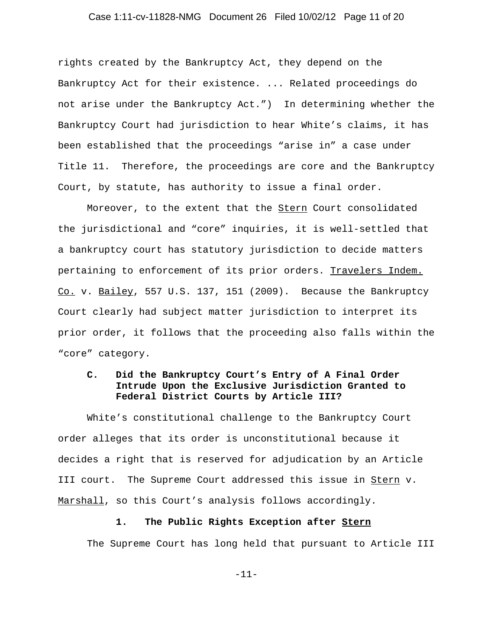### Case 1:11-cv-11828-NMG Document 26 Filed 10/02/12 Page 11 of 20

rights created by the Bankruptcy Act, they depend on the Bankruptcy Act for their existence. ... Related proceedings do not arise under the Bankruptcy Act.") In determining whether the Bankruptcy Court had jurisdiction to hear White's claims, it has been established that the proceedings "arise in" a case under Title 11. Therefore, the proceedings are core and the Bankruptcy Court, by statute, has authority to issue a final order.

Moreover, to the extent that the Stern Court consolidated the jurisdictional and "core" inquiries, it is well-settled that a bankruptcy court has statutory jurisdiction to decide matters pertaining to enforcement of its prior orders. Travelers Indem.  $Co.$  v. Bailey, 557 U.S. 137, 151 (2009). Because the Bankruptcy Court clearly had subject matter jurisdiction to interpret its prior order, it follows that the proceeding also falls within the "core" category.

# **C. Did the Bankruptcy Court's Entry of A Final Order Intrude Upon the Exclusive Jurisdiction Granted to Federal District Courts by Article III?**

White's constitutional challenge to the Bankruptcy Court order alleges that its order is unconstitutional because it decides a right that is reserved for adjudication by an Article III court. The Supreme Court addressed this issue in Stern v. Marshall, so this Court's analysis follows accordingly.

#### **1. The Public Rights Exception after Stern**

The Supreme Court has long held that pursuant to Article III

-11-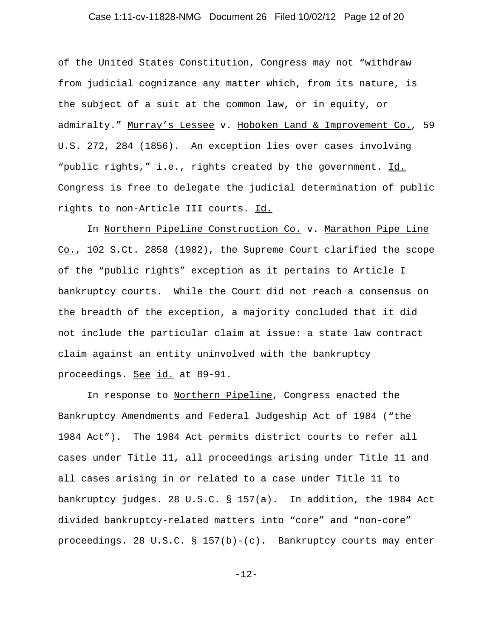### Case 1:11-cv-11828-NMG Document 26 Filed 10/02/12 Page 12 of 20

of the United States Constitution, Congress may not "withdraw from judicial cognizance any matter which, from its nature, is the subject of a suit at the common law, or in equity, or admiralty." Murray's Lessee v. Hoboken Land & Improvement Co.*,* 59 U.S. 272, 284 (1856). An exception lies over cases involving "public rights," i.e., rights created by the government. Id. Congress is free to delegate the judicial determination of public rights to non-Article III courts. Id.

In Northern Pipeline Construction Co. v. Marathon Pipe Line Co., 102 S.Ct. 2858 (1982), the Supreme Court clarified the scope of the "public rights" exception as it pertains to Article I bankruptcy courts. While the Court did not reach a consensus on the breadth of the exception, a majority concluded that it did not include the particular claim at issue: a state law contract claim against an entity uninvolved with the bankruptcy proceedings. See id. at 89-91.

In response to Northern Pipeline, Congress enacted the Bankruptcy Amendments and Federal Judgeship Act of 1984 ("the 1984 Act"). The 1984 Act permits district courts to refer all cases under Title 11, all proceedings arising under Title 11 and all cases arising in or related to a case under Title 11 to bankruptcy judges. 28 U.S.C. § 157(a). In addition, the 1984 Act divided bankruptcy-related matters into "core" and "non-core" proceedings. 28 U.S.C. §  $157(b)-(c)$ . Bankruptcy courts may enter

-12-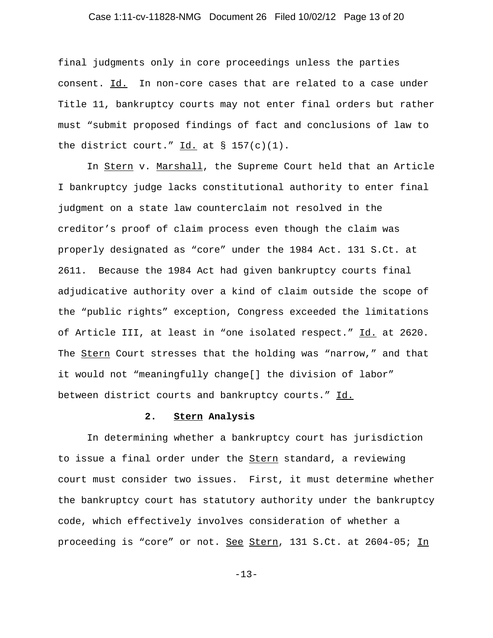### Case 1:11-cv-11828-NMG Document 26 Filed 10/02/12 Page 13 of 20

final judgments only in core proceedings unless the parties consent. Id. In non-core cases that are related to a case under Title 11, bankruptcy courts may not enter final orders but rather must "submit proposed findings of fact and conclusions of law to the district court."  $\underline{Id.}$  at § 157(c)(1).

In Stern v. Marshall, the Supreme Court held that an Article I bankruptcy judge lacks constitutional authority to enter final judgment on a state law counterclaim not resolved in the creditor's proof of claim process even though the claim was properly designated as "core" under the 1984 Act. 131 S.Ct. at 2611. Because the 1984 Act had given bankruptcy courts final adjudicative authority over a kind of claim outside the scope of the "public rights" exception, Congress exceeded the limitations of Article III, at least in "one isolated respect." Id. at 2620. The Stern Court stresses that the holding was "narrow," and that it would not "meaningfully change[] the division of labor" between district courts and bankruptcy courts." Id.

## **2. Stern Analysis**

In determining whether a bankruptcy court has jurisdiction to issue a final order under the **Stern** standard, a reviewing court must consider two issues. First, it must determine whether the bankruptcy court has statutory authority under the bankruptcy code, which effectively involves consideration of whether a proceeding is "core" or not. See Stern, 131 S.Ct. at 2604-05; In

-13-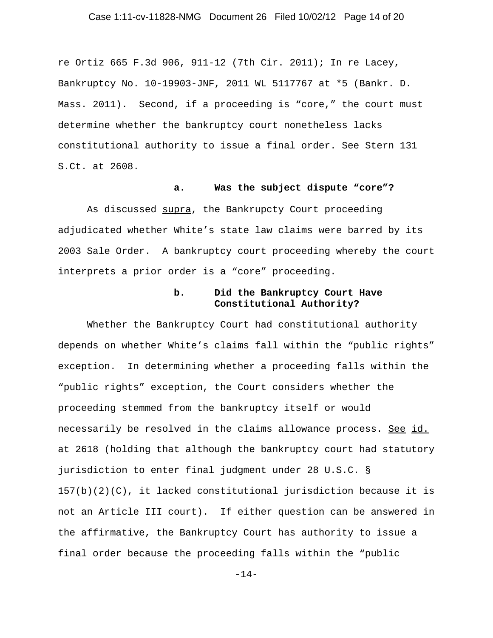### Case 1:11-cv-11828-NMG Document 26 Filed 10/02/12 Page 14 of 20

re Ortiz 665 F.3d 906, 911-12 (7th Cir. 2011); In re Lacey, Bankruptcy No. 10-19903-JNF, 2011 WL 5117767 at \*5 (Bankr. D. Mass. 2011). Second, if a proceeding is "core," the court must determine whether the bankruptcy court nonetheless lacks constitutional authority to issue a final order. See Stern 131 S.Ct. at 2608.

### **a. Was the subject dispute "core"?**

As discussed supra, the Bankrupcty Court proceeding adjudicated whether White's state law claims were barred by its 2003 Sale Order. A bankruptcy court proceeding whereby the court interprets a prior order is a "core" proceeding.

## **b. Did the Bankruptcy Court Have Constitutional Authority?**

Whether the Bankruptcy Court had constitutional authority depends on whether White's claims fall within the "public rights" exception. In determining whether a proceeding falls within the "public rights" exception, the Court considers whether the proceeding stemmed from the bankruptcy itself or would necessarily be resolved in the claims allowance process. See id. at 2618 (holding that although the bankruptcy court had statutory jurisdiction to enter final judgment under 28 U.S.C. §  $157(b)(2)(C)$ , it lacked constitutional jurisdiction because it is not an Article III court). If either question can be answered in the affirmative, the Bankruptcy Court has authority to issue a final order because the proceeding falls within the "public

-14-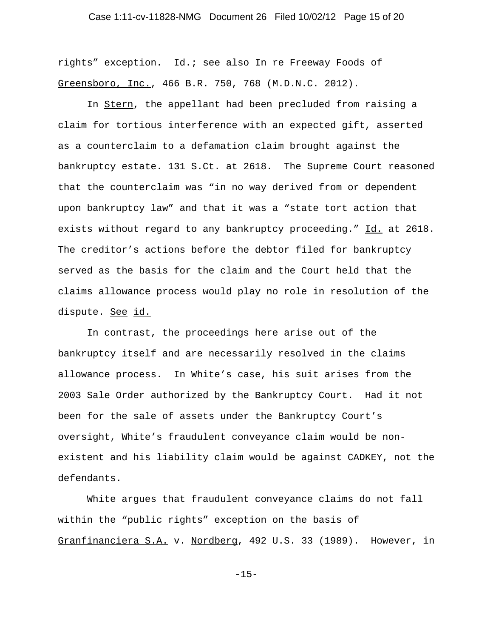### Case 1:11-cv-11828-NMG Document 26 Filed 10/02/12 Page 15 of 20

rights" exception. Id.; see also In re Freeway Foods of Greensboro, Inc., 466 B.R. 750, 768 (M.D.N.C. 2012).

In Stern, the appellant had been precluded from raising a claim for tortious interference with an expected gift, asserted as a counterclaim to a defamation claim brought against the bankruptcy estate. 131 S.Ct. at 2618. The Supreme Court reasoned that the counterclaim was "in no way derived from or dependent upon bankruptcy law" and that it was a "state tort action that exists without regard to any bankruptcy proceeding." Id. at 2618. The creditor's actions before the debtor filed for bankruptcy served as the basis for the claim and the Court held that the claims allowance process would play no role in resolution of the dispute. See id.

In contrast, the proceedings here arise out of the bankruptcy itself and are necessarily resolved in the claims allowance process. In White's case, his suit arises from the 2003 Sale Order authorized by the Bankruptcy Court. Had it not been for the sale of assets under the Bankruptcy Court's oversight, White's fraudulent conveyance claim would be nonexistent and his liability claim would be against CADKEY, not the defendants.

White argues that fraudulent conveyance claims do not fall within the "public rights" exception on the basis of Granfinanciera S.A. v. Nordberg, 492 U.S. 33 (1989). However, in

-15-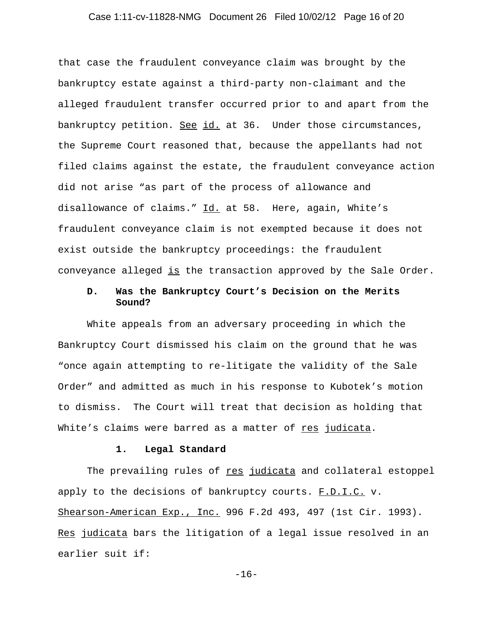### Case 1:11-cv-11828-NMG Document 26 Filed 10/02/12 Page 16 of 20

that case the fraudulent conveyance claim was brought by the bankruptcy estate against a third-party non-claimant and the alleged fraudulent transfer occurred prior to and apart from the bankruptcy petition. See id. at 36. Under those circumstances, the Supreme Court reasoned that, because the appellants had not filed claims against the estate, the fraudulent conveyance action did not arise "as part of the process of allowance and disallowance of claims." Id. at 58. Here, again, White's fraudulent conveyance claim is not exempted because it does not exist outside the bankruptcy proceedings: the fraudulent conveyance alleged is the transaction approved by the Sale Order.

## **D. Was the Bankruptcy Court's Decision on the Merits Sound?**

White appeals from an adversary proceeding in which the Bankruptcy Court dismissed his claim on the ground that he was "once again attempting to re-litigate the validity of the Sale Order" and admitted as much in his response to Kubotek's motion to dismiss. The Court will treat that decision as holding that White's claims were barred as a matter of res judicata.

## **1. Legal Standard**

The prevailing rules of res judicata and collateral estoppel apply to the decisions of bankruptcy courts. F.D.I.C. v. Shearson-American Exp., Inc. 996 F.2d 493, 497 (1st Cir. 1993). Res judicata bars the litigation of a legal issue resolved in an earlier suit if:

-16-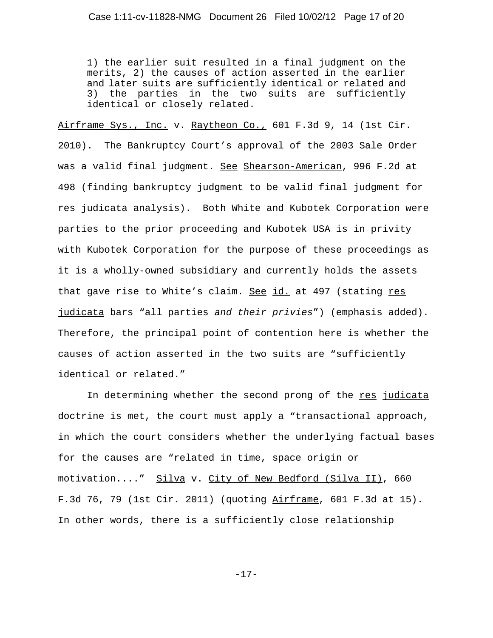1) the earlier suit resulted in a final judgment on the merits, 2) the causes of action asserted in the earlier and later suits are sufficiently identical or related and 3) the parties in the two suits are sufficiently identical or closely related.

Airframe Sys., Inc. v. Raytheon Co., 601 F.3d 9, 14 (1st Cir. 2010). The Bankruptcy Court's approval of the 2003 Sale Order was a valid final judgment. See Shearson-American, 996 F.2d at 498 (finding bankruptcy judgment to be valid final judgment for res judicata analysis). Both White and Kubotek Corporation were parties to the prior proceeding and Kubotek USA is in privity with Kubotek Corporation for the purpose of these proceedings as it is a wholly-owned subsidiary and currently holds the assets that gave rise to White's claim. See id. at 497 (stating res judicata bars "all parties *and their privies*") (emphasis added). Therefore, the principal point of contention here is whether the causes of action asserted in the two suits are "sufficiently identical or related."

In determining whether the second prong of the res judicata doctrine is met, the court must apply a "transactional approach, in which the court considers whether the underlying factual bases for the causes are "related in time, space origin or motivation...." Silva v. City of New Bedford (Silva II), 660 F.3d 76, 79 (1st Cir. 2011) (quoting  $A$ irframe, 601 F.3d at 15). In other words, there is a sufficiently close relationship

-17-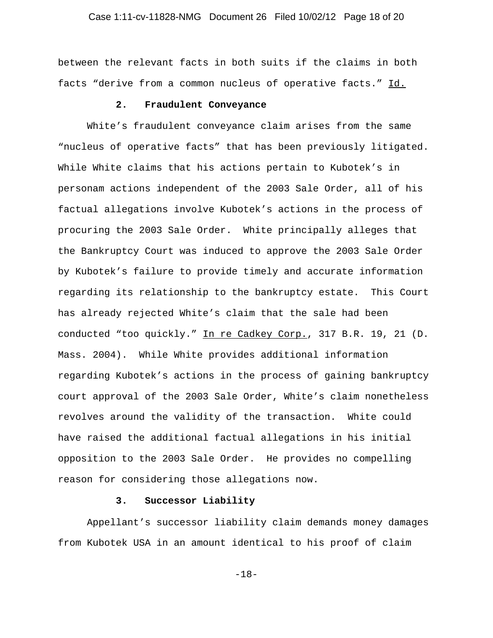### Case 1:11-cv-11828-NMG Document 26 Filed 10/02/12 Page 18 of 20

between the relevant facts in both suits if the claims in both facts "derive from a common nucleus of operative facts." Id.

#### **2. Fraudulent Conveyance**

White's fraudulent conveyance claim arises from the same "nucleus of operative facts" that has been previously litigated. While White claims that his actions pertain to Kubotek's in personam actions independent of the 2003 Sale Order, all of his factual allegations involve Kubotek's actions in the process of procuring the 2003 Sale Order. White principally alleges that the Bankruptcy Court was induced to approve the 2003 Sale Order by Kubotek's failure to provide timely and accurate information regarding its relationship to the bankruptcy estate. This Court has already rejected White's claim that the sale had been conducted "too quickly." In re Cadkey Corp., 317 B.R. 19, 21 (D. Mass. 2004). While White provides additional information regarding Kubotek's actions in the process of gaining bankruptcy court approval of the 2003 Sale Order, White's claim nonetheless revolves around the validity of the transaction. White could have raised the additional factual allegations in his initial opposition to the 2003 Sale Order. He provides no compelling reason for considering those allegations now.

## **3. Successor Liability**

Appellant's successor liability claim demands money damages from Kubotek USA in an amount identical to his proof of claim

-18-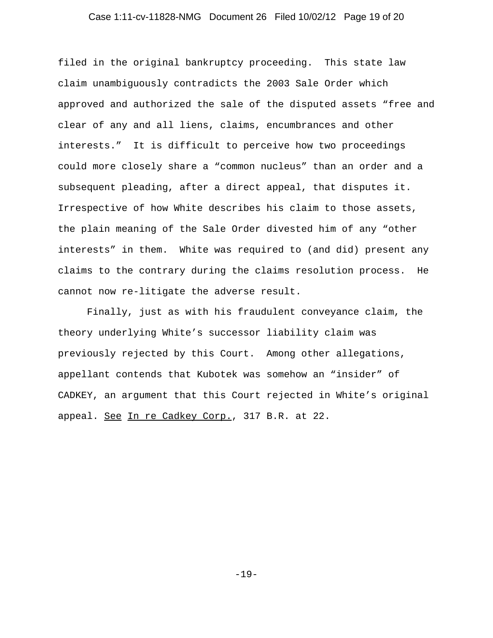### Case 1:11-cv-11828-NMG Document 26 Filed 10/02/12 Page 19 of 20

filed in the original bankruptcy proceeding. This state law claim unambiguously contradicts the 2003 Sale Order which approved and authorized the sale of the disputed assets "free and clear of any and all liens, claims, encumbrances and other interests." It is difficult to perceive how two proceedings could more closely share a "common nucleus" than an order and a subsequent pleading, after a direct appeal, that disputes it. Irrespective of how White describes his claim to those assets, the plain meaning of the Sale Order divested him of any "other interests" in them. White was required to (and did) present any claims to the contrary during the claims resolution process. He cannot now re-litigate the adverse result.

Finally, just as with his fraudulent conveyance claim, the theory underlying White's successor liability claim was previously rejected by this Court. Among other allegations, appellant contends that Kubotek was somehow an "insider" of CADKEY, an argument that this Court rejected in White's original appeal. See In re Cadkey Corp., 317 B.R. at 22.

-19-